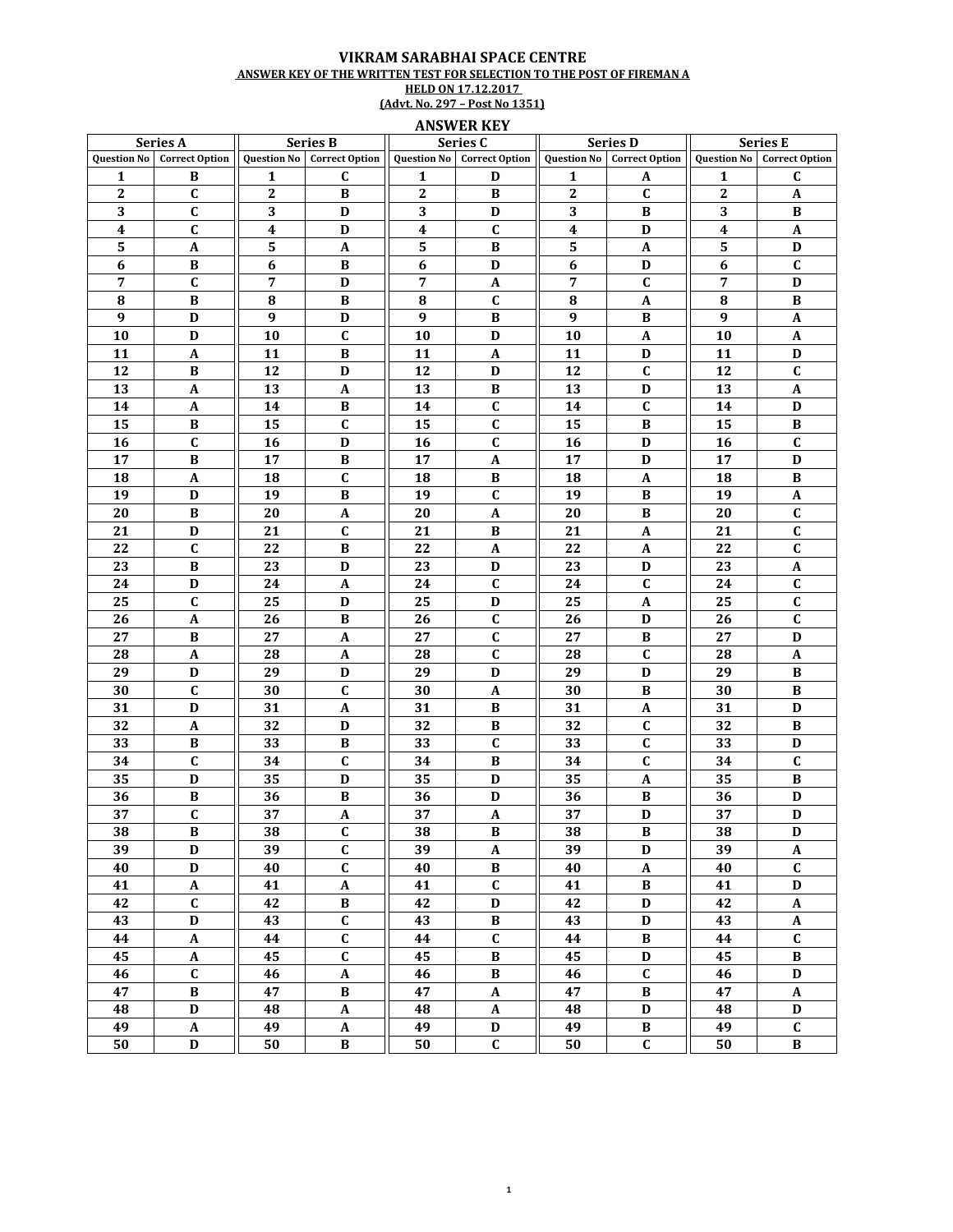## VIKRAM SARABHAI SPACE CENTRE ANSWER KEY OF THE WRITTEN TEST FOR SELECTION TO THE POST OF FIREMAN A **HELD ON 17.12.2017** (Advt. No. 297 – Post No 1351)

## ANSWER KEY

| Series A         |                                   | <b>Series B</b>    |                           | Series C         |                                   | <b>Series D</b>  |                                   | <b>Series E</b>    |                       |
|------------------|-----------------------------------|--------------------|---------------------------|------------------|-----------------------------------|------------------|-----------------------------------|--------------------|-----------------------|
|                  | <b>Question No</b> Correct Option | <b>Question No</b> | <b>Correct Option</b>     |                  | <b>Question No</b> Correct Option |                  | <b>Question No</b> Correct Option | <b>Question No</b> | <b>Correct Option</b> |
| $\mathbf{1}$     | B                                 | 1                  | C                         | 1                | D                                 | 1                | A                                 | 1                  | $\mathbf{C}$          |
| $\boldsymbol{2}$ | $\mathbf{C}$                      | $\boldsymbol{2}$   | B                         | $\mathbf{2}$     | B                                 | $\boldsymbol{2}$ | $\mathbf C$                       | $\boldsymbol{2}$   | A                     |
| 3                | C                                 | 3                  | D                         | 3                | D                                 | 3                | B                                 | 3                  | В                     |
| $\boldsymbol{4}$ | C                                 | $\boldsymbol{4}$   | D                         | $\boldsymbol{4}$ | $\mathbf C$                       | $\boldsymbol{4}$ | D                                 | $\boldsymbol{4}$   | $\boldsymbol{A}$      |
| ${\bf 5}$        | A                                 | 5                  | A                         | 5                | B                                 | ${\bf 5}$        | A                                 | 5                  | D                     |
| $\boldsymbol{6}$ | $\, {\bf B}$                      | $\boldsymbol{6}$   | B                         | $\boldsymbol{6}$ | $\mathbf D$                       | 6                | D                                 | 6                  | $\mathbf C$           |
| 7                | $\mathbf{C}$                      | 7                  | D                         | 7                | $\mathbf A$                       | 7                | $\mathbf{C}$                      | 7                  | D                     |
| 8                | B                                 | 8                  | B                         | 8                | C                                 | 8                | A                                 | 8                  | В                     |
| 9                | D                                 | $\boldsymbol{9}$   | D                         | $\boldsymbol{9}$ | B                                 | 9                | B                                 | 9                  | $\mathbf{A}$          |
| 10               | D                                 | 10                 | $\mathbf{C}$              | 10               | D                                 | 10               | $\boldsymbol{A}$                  | 10                 | $\mathbf A$           |
| 11               | $\boldsymbol{A}$                  | 11                 | B                         | 11               | $\mathbf{A}$                      | 11               | D                                 | 11                 | D                     |
| 12               | B                                 | 12                 | D                         | 12               | D                                 | 12               | $\mathbf{C}$                      | 12                 | $\mathbf{C}$          |
| 13               |                                   | 13                 | A                         | 13               | В                                 | 13               | D                                 | 13                 |                       |
| 14               | A<br>A                            | 14                 | B                         | 14               | $\mathbf{C}$                      | 14               | C                                 | 14                 | A<br>D                |
| 15               | В                                 | 15                 | C                         | 15               | $\mathbf c$                       | 15               | B                                 | 15                 | $\bf{B}$              |
| 16               | $\mathbf C$                       |                    | $\mathbf D$               |                  | $\mathbf C$                       |                  | $\mathbf D$                       |                    | $\mathbf C$           |
| 17               | $\, {\bf B}$                      | 16<br>17           | $\, {\bf B}$              | 16<br>17         | $\boldsymbol{\mathsf{A}}$         | 16<br>17         | D                                 | 16<br>17           | D                     |
|                  |                                   |                    |                           |                  |                                   |                  |                                   |                    |                       |
| 18               | A                                 | 18                 | $\mathbf{C}$              | 18               | B                                 | 18               | $\boldsymbol{A}$                  | 18                 | $\bf{B}$              |
| 19               | D                                 | 19                 | $\bf{B}$                  | 19               | $\mathbf{C}$                      | 19               | $\bf{B}$                          | 19                 | A                     |
| 20               | $\, {\bf B}$                      | 20                 | A                         | 20               | $\boldsymbol{A}$                  | 20               | B                                 | 20                 | $\mathbf C$           |
| 21               | D                                 | 21                 | $\mathbf{C}$              | 21               | B                                 | 21               | A                                 | 21                 | $\mathbf C$           |
| 22               | $\mathbf C$                       | 22                 | B                         | 22               | A                                 | 22               | A                                 | 22                 | C                     |
| 23               | В                                 | 23                 | D                         | 23               | D                                 | 23               | D                                 | 23                 | A                     |
| 24               | D                                 | 24                 | A                         | 24               | $\mathbf C$                       | 24               | C                                 | 24                 | C                     |
| 25               | $\mathbf C$                       | 25                 | D                         | 25               | D                                 | 25               | A                                 | 25                 | $\mathbf C$           |
| 26               | A                                 | 26                 | B                         | 26               | $\mathbf C$                       | 26               | D                                 | 26                 | $\mathbf C$           |
| 27               | $\, {\bf B}$                      | 27                 | A                         | 27               | $\mathbf c$                       | 27               | $\bf{B}$                          | 27                 | D                     |
| 28               | A                                 | 28                 | A                         | 28               | $\mathbf{C}$                      | 28               | C                                 | 28                 | A                     |
| 29               | D                                 | 29                 | D                         | 29               | D                                 | 29               | D                                 | 29                 | B                     |
| 30               | $\mathbf C$                       | 30                 | $\mathbf{C}$              | 30               | $\boldsymbol{A}$                  | 30               | B                                 | 30                 | $\bf{B}$              |
| 31               | D                                 | 31                 | A                         | 31               | B                                 | 31               | A                                 | 31                 | D                     |
| 32               | A                                 | 32                 | D                         | 32               | В                                 | 32               | $\mathbf{C}$                      | 32                 | В                     |
| 33               | B                                 | 33                 | B                         | 33               | $\mathbf c$                       | 33               | C                                 | 33                 | D                     |
| 34               | C                                 | 34                 | $\mathbf{C}$              | 34               | B                                 | 34               | C                                 | 34                 | $\mathbf{C}$          |
| 35               | $\mathbf D$                       | 35                 | D                         | 35               | D                                 | 35               | $\boldsymbol{A}$                  | 35                 | B                     |
| 36               | $\, {\bf B}$                      | 36                 | $\, {\bf B}$              | 36               | $\mathbf D$                       | 36               | B                                 | 36                 | $\mathbf D$           |
| 37               | $\mathbf{C}$                      | 37                 | $\boldsymbol{\mathsf{A}}$ | 37               | $\boldsymbol{\mathsf{A}}$         | 37               | $\mathbf D$                       | 37                 | $\mathbf D$           |
| $\overline{38}$  | $\, {\bf B}$                      | 38                 | $\mathbf C$               | $\overline{38}$  | $\, {\bf B}$                      | 38               | $\, {\bf B}$                      | $\overline{38}$    | $\mathbf D$           |
| 39               | D                                 | 39                 | $\mathbf C$               | 39               | $\mathbf A$                       | 39               | D                                 | 39                 | $\boldsymbol{A}$      |
| 40               | $\mathbf D$                       | 40                 | $\mathbf C$               | 40               | B                                 | 40               | $\boldsymbol{A}$                  | 40                 | $\mathbf{C}$          |
| 41               | $\boldsymbol{\mathsf{A}}$         | 41                 | $\mathbf A$               | 41               | $\mathbf{C}$                      | 41               | $\, {\bf B}$                      | 41                 | D                     |
| 42               | $\mathbf{C}$                      | 42                 | $\, {\bf B} \,$           | 42               | $\mathbf D$                       | 42               | D                                 | 42                 | $\mathbf A$           |
| 43               | D                                 | 43                 | $\mathbf{C}$              | 43               | $\bf{B}$                          | 43               | D                                 | 43                 | A                     |
| 44               | $\boldsymbol{\mathsf{A}}$         | 44                 | $\mathbf C$               | 44               | $\mathbf C$                       | 44               | B                                 | 44                 | $\mathbf C$           |
| 45               | $\pmb{\mathrm{A}}$                | 45                 | $\mathbf C$               | 45               | $\, {\bf B}$                      | 45               | $\mathbf D$                       | 45                 | $\, {\bf B}$          |
| 46               | $\mathbf C$                       | 46                 | $\boldsymbol{\mathsf{A}}$ | 46               | $\, {\bf B}$                      | 46               | $\mathbf C$                       | 46                 | $\mathbf D$           |
| 47               | $\, {\bf B}$                      | 47                 | $\, {\bf B}$              | 47               | $\mathbf{A}$                      | 47               | $\, {\bf B}$                      | 47                 | $\mathbf{A}$          |
| 48               | $\mathbf D$                       | 48                 | $\mathbf A$               | 48               | $\boldsymbol{\rm{A}}$             | 48               | D                                 | 48                 | D                     |
| 49               | $\pmb{A}$                         | 49                 | $\boldsymbol{\rm{A}}$     | 49               | $\mathbf D$                       | 49               | $\, {\bf B}$                      | 49                 | $\mathbf C$           |
| 50               | D                                 | 50                 | $\, {\bf B} \,$           | 50               | $\mathbf{C}$                      | 50               | $\overline{\mathbf{C}}$           | 50                 | $\, {\bf B}$          |